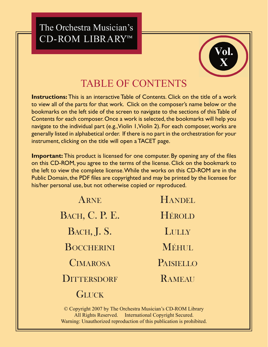## The Orchestra Musician's CD-ROM LIBRARY™



## TABLE OF CONTENTS

**Instructions:** This is an interactive Table of Contents. Click on the title of a work to view all of the parts for that work. Click on the composer's name below or the bookmarks on the left side of the screen to navigate to the sections of this Table of Contents for each composer. Once a work is selected, the bookmarks will help you navigate to the individual part (e.g., Violin 1, Violin 2). For each composer, works are generally listed in alphabetical order. If there is no part in the orchestration for your instrument, clicking on the title will open a TACET page.

**Important:** This product is licensed for one computer. By opening any of the files on this CD-ROM, you agree to the terms of the license. Click on the bookmark to the left to view the complete license. While the works on this CD-ROM are in the Public Domain, the PDF files are copyrighted and may be printed by the licensee for his/her personal use, but not otherwise copied or reproduced.

> [ARNE](#page-1-0) [BACH, C. P. E.](#page-1-0) [BACH, J. S.](#page-1-0) **[BOCCHERINI](#page-2-0) [CIMAROSA](#page-2-0) [DITTERSDORF](#page-2-0) [GLUCK](#page-3-0)** [HANDEL](#page-3-0) [HÉROLD](#page-3-0) **[LULLY](#page-3-0)** MÉHHL. [PAISIELLO](#page-4-0) [RAMEAU](#page-4-0)

© Copyright 2007 by The Orchestra Musician's CD-ROM Library All Rights Reserved. International Copyright Secured. Warning: Unauthorized reproduction of this publication is prohibited.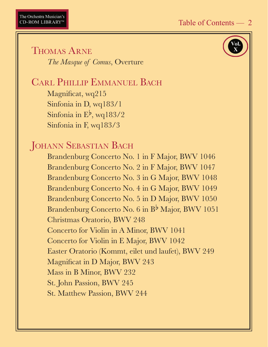

<span id="page-1-0"></span>THOMAS ARNE  *The Masque of Comus*, Overture

# CARL PHILLIP EMMANUEL BACH

Magnificat, wq215 Sinfonia in D, wq183/1 Sinfonia in  $E^{\flat}$ , wq183/2 Sinfonia in F, wq183/3

## **JOHANN SEBASTIAN BACH**

 Brandenburg Concerto No. 1 in F Major, BWV 1046 Brandenburg Concerto No. 2 in F Major, BWV 1047 Brandenburg Concerto No. 3 in G Major, BWV 1048 Brandenburg Concerto No. 4 in G Major, BWV 1049 Brandenburg Concerto No. 5 in D Major, BWV 1050 Brandenburg Concerto No. 6 in  $B^{\flat}$  Major, BWV 1051 Christmas Oratorio, BWV 248 Concerto for Violin in A Minor, BWV 1041 Concerto for Violin in E Major, BWV 1042 Easter Oratorio (Kommt, eilet und laufet), BWV 249 Magnificat in D Major, BWV 243 Mass in B Minor, BWV 232 St. John Passion, BWV 245 St. Matthew Passion, BWV 244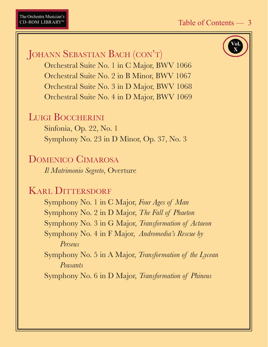<span id="page-2-0"></span>JOHANN SEBASTIAN BACH (CON'T)

 Orchestral Suite No. 1 in C Major, BWV 1066 Orchestral Suite No. 2 in B Minor, BWV 1067 Orchestral Suite No. 3 in D Major, BWV 1068 Orchestral Suite No. 4 in D Major, BWV 1069

#### LUIGI BOCCHERINI

 Sinfonia, Op. 22, No. 1 Symphony No. 23 in D Minor, Op. 37, No. 3

#### DOMENICO CIMAROSA

 *Il Matrimonio Segreto*, Overture

## KARL DITTERSDORF

 Symphony No. 1 in C Major, *Four Ages of Man* Symphony No. 2 in D Major, *The Fall of Phaeton* Symphony No. 3 in G Major, *Transformation of Actaeon* Symphony No. 4 in F Major, *Andromedia's Rescue by Perseus*

 Symphony No. 5 in A Major, *Transformation of the Lycean Peasants*

Symphony No. 6 in D Major, *Transformation of Phineus*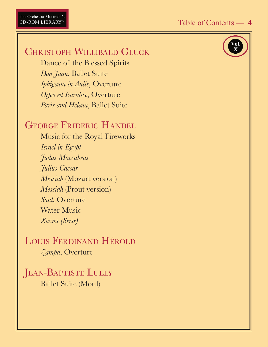## <span id="page-3-0"></span>CHRISTOPH WILLIBALD GLUCK

 Dance of the Blessed Spirits  *Don Juan*, Ballet Suite  *Iphigenia in Aulis*, Overture  *Orfeo ed Euridice*, Overture  *Paris and Helena*, Ballet Suite

## GEORGE FRIDERIC HANDEL

 Music for the Royal Fireworks  *Israel in Egypt Judas Maccabeus Julius Caesar Messiah* (Mozart version) *Messiah* (Prout version) *Saul*, Overture Water Music *Xerxes (Serse)*

## LOUIS FERDINAND HÉROLD *Zampa*, Overture

JEAN-BAPTISTE LULLY Ballet Suite (Mottl)